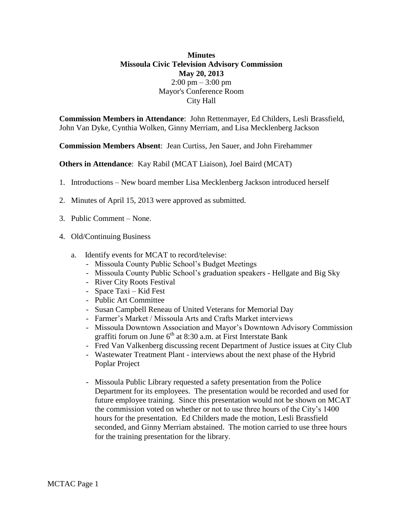## **Minutes Missoula Civic Television Advisory Commission May 20, 2013**  $2:00 \text{ pm} - 3:00 \text{ pm}$ Mayor's Conference Room City Hall

**Commission Members in Attendance**: John Rettenmayer, Ed Childers, Lesli Brassfield, John Van Dyke, Cynthia Wolken, Ginny Merriam, and Lisa Mecklenberg Jackson

**Commission Members Absent**: Jean Curtiss, Jen Sauer, and John Firehammer

**Others in Attendance**: Kay Rabil (MCAT Liaison), Joel Baird (MCAT)

- 1. Introductions New board member Lisa Mecklenberg Jackson introduced herself
- 2. Minutes of April 15, 2013 were approved as submitted.
- 3. Public Comment None.
- 4. Old/Continuing Business
	- a. Identify events for MCAT to record/televise:
		- Missoula County Public School's Budget Meetings
		- Missoula County Public School's graduation speakers Hellgate and Big Sky
		- River City Roots Festival
		- Space Taxi Kid Fest
		- Public Art Committee
		- Susan Campbell Reneau of United Veterans for Memorial Day
		- Farmer's Market / Missoula Arts and Crafts Market interviews
		- Missoula Downtown Association and Mayor's Downtown Advisory Commission graffiti forum on June  $6<sup>th</sup>$  at 8:30 a.m. at First Interstate Bank
		- Fred Van Valkenberg discussing recent Department of Justice issues at City Club
		- Wastewater Treatment Plant interviews about the next phase of the Hybrid Poplar Project
		- Missoula Public Library requested a safety presentation from the Police Department for its employees. The presentation would be recorded and used for future employee training. Since this presentation would not be shown on MCAT the commission voted on whether or not to use three hours of the City's 1400 hours for the presentation. Ed Childers made the motion, Lesli Brassfield seconded, and Ginny Merriam abstained. The motion carried to use three hours for the training presentation for the library.